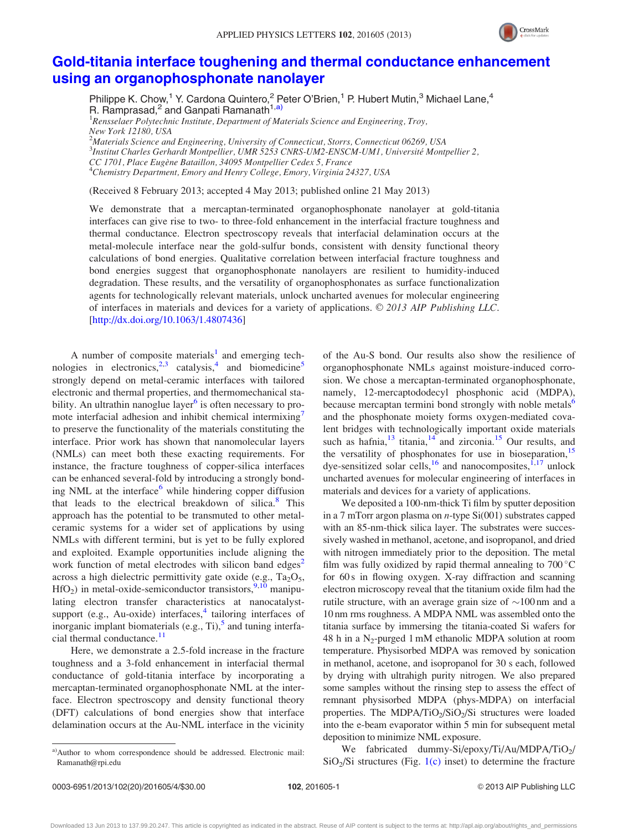

## [Gold-titania interface toughening and thermal conductance enhancement](http://dx.doi.org/10.1063/1.4807436) [using an organophosphonate nanolayer](http://dx.doi.org/10.1063/1.4807436)

Philippe K. Chow,<sup>1</sup> Y. Cardona Quintero,<sup>2</sup> Peter O'Brien,<sup>1</sup> P. Hubert Mutin,<sup>3</sup> Michael Lane,<sup>4</sup> R. Ramprasad,<sup>2</sup> and Ganpati Ramanath<sup>1,a)</sup>

<sup>1</sup> Rensselaer Polytechnic Institute, Department of Materials Science and Engineering, Troy, New York 12180, USA

 $^2$ Materials Science and Engineering, University of Connecticut, Storrs, Connecticut 06269, USA <sup>3</sup>Institut Charles Gerhardt Montpellier, UMR 5253 CNRS-UM2-ENSCM-UM1, Université Montpellier 2, CC 1701, Place Eugène Bataillon, 34095 Montpellier Cedex 5, France  $^4$ Chemistry Department, Emory and Henry College, Emory, Virginia 24327, USA

(Received 8 February 2013; accepted 4 May 2013; published online 21 May 2013)

We demonstrate that a mercaptan-terminated organophosphonate nanolayer at gold-titania interfaces can give rise to two- to three-fold enhancement in the interfacial fracture toughness and thermal conductance. Electron spectroscopy reveals that interfacial delamination occurs at the metal-molecule interface near the gold-sulfur bonds, consistent with density functional theory calculations of bond energies. Qualitative correlation between interfacial fracture toughness and bond energies suggest that organophosphonate nanolayers are resilient to humidity-induced degradation. These results, and the versatility of organophosphonates as surface functionalization agents for technologically relevant materials, unlock uncharted avenues for molecular engineering of interfaces in materials and devices for a variety of applications.  $\odot$  2013 AIP Publishing LLC. [\[http://dx.doi.org/10.1063/1.4807436](http://dx.doi.org/10.1063/1.4807436)]

A number of composite materials<sup>[1](#page-3-0)</sup> and emerging technologies in electronics,  $2,3$  catalysis, and biomedicine<sup>[5](#page-3-0)</sup> strongly depend on metal-ceramic interfaces with tailored electronic and thermal properties, and thermomechanical sta-bility. An ultrathin nanoglue layer<sup>[6](#page-3-0)</sup> is often necessary to pro-mote interfacial adhesion and inhibit chemical intermixing<sup>[7](#page-3-0)</sup> to preserve the functionality of the materials constituting the interface. Prior work has shown that nanomolecular layers (NMLs) can meet both these exacting requirements. For instance, the fracture toughness of copper-silica interfaces can be enhanced several-fold by introducing a strongly bond-ing NML at the interface<sup>[6](#page-3-0)</sup> while hindering copper diffusion that leads to the electrical breakdown of silica.<sup>[8](#page-3-0)</sup> This approach has the potential to be transmuted to other metalceramic systems for a wider set of applications by using NMLs with different termini, but is yet to be fully explored and exploited. Example opportunities include aligning the work function of metal electrodes with silicon band edges<sup>2</sup> across a high dielectric permittivity gate oxide (e.g.,  $Ta<sub>2</sub>O<sub>5</sub>$ ,  $HfO<sub>2</sub>$ ) in metal-oxide-semiconductor transistors,<sup>[9,10](#page-3-0)</sup> manipulating electron transfer characteristics at nanocatalystsupport (e.g., Au-oxide) interfaces, $4$  tailoring interfaces of inorganic implant biomaterials (e.g., Ti), $<sup>5</sup>$  $<sup>5</sup>$  $<sup>5</sup>$  and tuning interfa-</sup> cial thermal conductance. $11$ 

Here, we demonstrate a 2.5-fold increase in the fracture toughness and a 3-fold enhancement in interfacial thermal conductance of gold-titania interface by incorporating a mercaptan-terminated organophosphonate NML at the interface. Electron spectroscopy and density functional theory (DFT) calculations of bond energies show that interface delamination occurs at the Au-NML interface in the vicinity of the Au-S bond. Our results also show the resilience of organophosphonate NMLs against moisture-induced corrosion. We chose a mercaptan-terminated organophosphonate, namely, 12-mercaptododecyl phosphonic acid (MDPA), because mercaptan termini bond strongly with noble metals<sup>[6](#page-3-0)</sup> and the phosphonate moiety forms oxygen-mediated covalent bridges with technologically important oxide materials such as hafnia, $13$  titania, $14$  and zirconia.<sup>[15](#page-3-0)</sup> Our results, and the versatility of phosphonates for use in bioseparation,  $15$ dye-sensitized solar cells,<sup>[16](#page-3-0)</sup> and nanocomposites, $1,17$  unlock uncharted avenues for molecular engineering of interfaces in materials and devices for a variety of applications.

We deposited a 100-nm-thick Ti film by sputter deposition in a 7 mTorr argon plasma on *n*-type  $Si(001)$  substrates capped with an 85-nm-thick silica layer. The substrates were successively washed in methanol, acetone, and isopropanol, and dried with nitrogen immediately prior to the deposition. The metal film was fully oxidized by rapid thermal annealing to  $700^{\circ}$ C for 60 s in flowing oxygen. X-ray diffraction and scanning electron microscopy reveal that the titanium oxide film had the rutile structure, with an average grain size of  $\sim$ 100 nm and a 10 nm rms roughness. A MDPA NML was assembled onto the titania surface by immersing the titania-coated Si wafers for 48 h in a  $N_2$ -purged 1 mM ethanolic MDPA solution at room temperature. Physisorbed MDPA was removed by sonication in methanol, acetone, and isopropanol for 30 s each, followed by drying with ultrahigh purity nitrogen. We also prepared some samples without the rinsing step to assess the effect of remnant physisorbed MDPA (phys-MDPA) on interfacial properties. The MDPA/TiO<sub>2</sub>/SiO<sub>2</sub>/Si structures were loaded into the e-beam evaporator within 5 min for subsequent metal deposition to minimize NML exposure.

We fabricated dummy-Si/epoxy/Ti/Au/MDPA/TiO<sub>2</sub>/  $SiO<sub>2</sub>/Si$  structures (Fig. [1\(c\)](#page-1-0) inset) to determine the fracture

Downloaded 13 Jun 2013 to 137.99.20.247. This article is copyrighted as indicated in the abstract. Reuse of AIP content is subject to the terms at: http://apl.aip.org/about/rights\_and\_permissions

a)Author to whom correspondence should be addressed. Electronic mail: [Ramanath@rpi.edu](mailto:Ramanath@rpi.edu)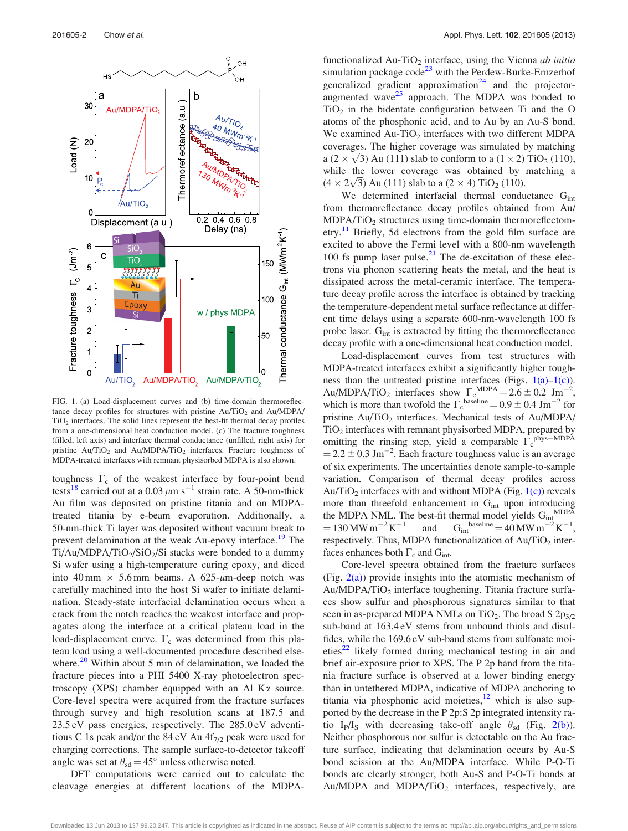<span id="page-1-0"></span>

FIG. 1. (a) Load-displacement curves and (b) time-domain thermoreflectance decay profiles for structures with pristine  $Au/TiO<sub>2</sub>$  and  $Au/MDPA/$  $TiO<sub>2</sub>$  interfaces. The solid lines represent the best-fit thermal decay profiles from a one-dimensional heat conduction model. (c) The fracture toughness (filled, left axis) and interface thermal conductance (unfilled, right axis) for pristine  $Au/TiO<sub>2</sub>$  and  $Au/MDPA/TiO<sub>2</sub>$  interfaces. Fracture toughness of MDPA-treated interfaces with remnant physisorbed MDPA is also shown.

toughness  $\Gamma_c$  of the weakest interface by four-point bend tests<sup>[18](#page-3-0)</sup> carried out at a 0.03  $\mu$ m s<sup>-1</sup> strain rate. A 50-nm-thick Au film was deposited on pristine titania and on MDPAtreated titania by e-beam evaporation. Additionally, a 50-nm-thick Ti layer was deposited without vacuum break to prevent delamination at the weak Au-epoxy interface.<sup>[19](#page-3-0)</sup> The  $Ti/Au/MDPA/TiO<sub>2</sub>/SiO<sub>2</sub>/Si$  stacks were bonded to a dummy Si wafer using a high-temperature curing epoxy, and diced into 40 mm  $\times$  5.6 mm beams. A 625- $\mu$ m-deep notch was carefully machined into the host Si wafer to initiate delamination. Steady-state interfacial delamination occurs when a crack from the notch reaches the weakest interface and propagates along the interface at a critical plateau load in the load-displacement curve.  $\Gamma_c$  was determined from this plateau load using a well-documented procedure described elsewhere. $20$  Within about 5 min of delamination, we loaded the fracture pieces into a PHI 5400 X-ray photoelectron spectroscopy (XPS) chamber equipped with an Al K $\alpha$  source. Core-level spectra were acquired from the fracture surfaces through survey and high resolution scans at 187.5 and 23.5 eV pass energies, respectively. The 285.0 eV adventitious C 1s peak and/or the 84 eV Au  $4f_{7/2}$  peak were used for charging corrections. The sample surface-to-detector takeoff angle was set at  $\theta_{sd} = 45^\circ$  unless otherwise noted.

DFT computations were carried out to calculate the cleavage energies at different locations of the MDPA- functionalized Au-TiO<sub>2</sub> interface, using the Vienna *ab initio* simulation package  $\text{code}^{23}$  $\text{code}^{23}$  $\text{code}^{23}$  with the Perdew-Burke-Ernzerhof generalized gradient approximation<sup>[24](#page-3-0)</sup> and the projectoraugmented wave $25$  approach. The MDPA was bonded to  $TiO<sub>2</sub>$  in the bidentate configuration between Ti and the O atoms of the phosphonic acid, and to Au by an Au-S bond. We examined Au-TiO<sub>2</sub> interfaces with two different MDPA coverages. The higher coverage was simulated by matching coverages. The higher coverage was simulated by matching<br>a  $(2 \times \sqrt{3})$  Au (111) slab to conform to a  $(1 \times 2)$  TiO<sub>2</sub> (110), while the lower coverage was obtained by matching a while the lower coverage was obtained by<br>  $(4 \times 2\sqrt{3})$  Au (111) slab to a (2  $\times$  4) TiO<sub>2</sub> (110).

We determined interfacial thermal conductance  $G<sub>int</sub>$ from thermoreflectance decay profiles obtained from Au/  $MDPA/TiO<sub>2</sub>$  structures using time-domain thermoreflectom-etry.<sup>[11](#page-3-0)</sup> Briefly, 5d electrons from the gold film surface are excited to above the Fermi level with a 800-nm wavelength 100 fs pump laser pulse. $^{21}$  $^{21}$  $^{21}$  The de-excitation of these electrons via phonon scattering heats the metal, and the heat is dissipated across the metal-ceramic interface. The temperature decay profile across the interface is obtained by tracking the temperature-dependent metal surface reflectance at different time delays using a separate 600-nm-wavelength 100 fs probe laser.  $G<sub>int</sub>$  is extracted by fitting the thermoreflectance decay profile with a one-dimensional heat conduction model.

Load-displacement curves from test structures with MDPA-treated interfaces exhibit a significantly higher toughness than the untreated pristine interfaces (Figs.  $1(a)-1(c)$ ). Au/MDPA/TiO<sub>2</sub> interfaces show  $\Gamma_c^{\text{MDPA}} = 2.6 \pm 0.2 \text{ Jm}^{-2}$ , which is more than twofold the  $\Gamma_c^{\text{baseline}} = 0.9 \pm 0.4 \text{ Jm}^{-2}$  for pristine  $Au/TiO<sub>2</sub>$  interfaces. Mechanical tests of  $Au/MDPA/$  $TiO<sub>2</sub>$  interfaces with remnant physisorbed MDPA, prepared by omitting the rinsing step, yield a comparable  $\Gamma_c^{\text{phys-MDPA}}$  $= 2.2 \pm 0.3$  Jm<sup>-2</sup>. Each fracture toughness value is an average of six experiments. The uncertainties denote sample-to-sample variation. Comparison of thermal decay profiles across Au/TiO<sub>2</sub> interfaces with and without MDPA (Fig.  $1(c)$ ) reveals more than threefold enhancement in  $G<sub>int</sub>$  upon introducing the MDPA NML. The best-fit thermal model yields  $G_{int}^{MDP\bar{A}}$  $= 130$  MW m<sup>-2</sup> K<sup>-1</sup> and G<sub>int</sub><sup>baseline</sup> = 40 MW m<sup>-2</sup> K<sup>-1</sup>, respectively. Thus, MDPA functionalization of  $Au/TiO<sub>2</sub>$  interfaces enhances both  $\Gamma_c$  and  $G_{int}$ .

Core-level spectra obtained from the fracture surfaces (Fig.  $2(a)$ ) provide insights into the atomistic mechanism of  $Au/MDPA/TiO<sub>2</sub>$  interface toughening. Titania fracture surfaces show sulfur and phosphorous signatures similar to that seen in as-prepared MDPA NMLs on TiO<sub>2</sub>. The broad S  $2p_{3/2}$ sub-band at 163.4 eV stems from unbound thiols and disulfides, while the 169.6 eV sub-band stems from sulfonate moi-eties<sup>[22](#page-3-0)</sup> likely formed during mechanical testing in air and brief air-exposure prior to XPS. The P 2p band from the titania fracture surface is observed at a lower binding energy than in untethered MDPA, indicative of MDPA anchoring to titania via phosphonic acid moieties, $12$  which is also supported by the decrease in the P 2p:S 2p integrated intensity ratio I<sub>P</sub>/I<sub>S</sub> with decreasing take-off angle  $\theta_{sd}$  (Fig. [2\(b\)](#page-2-0)). Neither phosphorous nor sulfur is detectable on the Au fracture surface, indicating that delamination occurs by Au-S bond scission at the Au/MDPA interface. While P-O-Ti bonds are clearly stronger, both Au-S and P-O-Ti bonds at Au/MDPA and MDPA/TiO<sub>2</sub> interfaces, respectively, are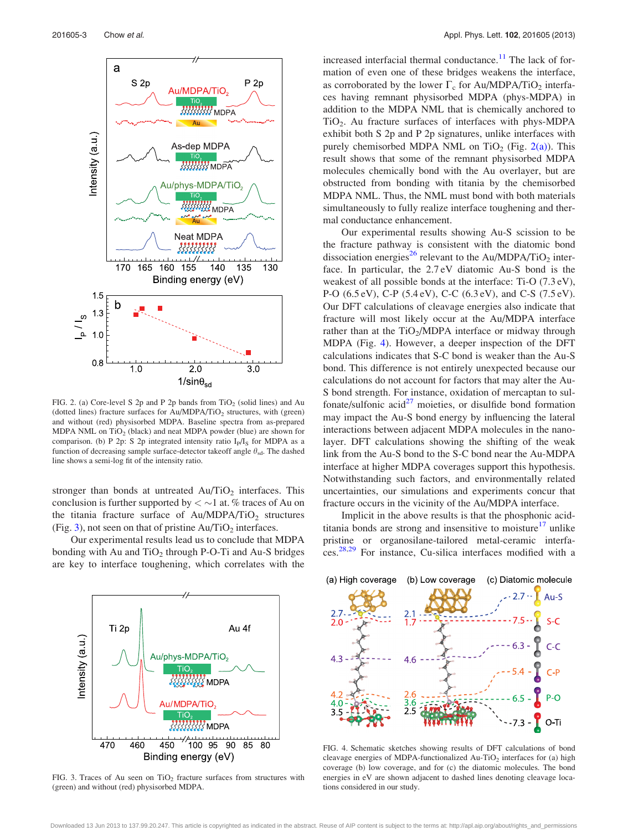<span id="page-2-0"></span>

FIG. 2. (a) Core-level S 2p and P 2p bands from  $TiO<sub>2</sub>$  (solid lines) and Au (dotted lines) fracture surfaces for  $Au/MDPA/TiO<sub>2</sub>$  structures, with (green) and without (red) physisorbed MDPA. Baseline spectra from as-prepared MDPA NML on  $TiO<sub>2</sub>$  (black) and neat MDPA powder (blue) are shown for comparison. (b) P 2p: S 2p integrated intensity ratio  $I<sub>P</sub>/I<sub>S</sub>$  for MDPA as a function of decreasing sample surface-detector takeoff angle  $\theta_{sd}$ . The dashed line shows a semi-log fit of the intensity ratio.

stronger than bonds at untreated  $Au/TiO<sub>2</sub>$  interfaces. This conclusion is further supported by  $\langle \sim 1 \text{ at. } \%$  traces of Au on the titania fracture surface of  $Au/MDPA/TiO<sub>2</sub>$  structures (Fig. 3), not seen on that of pristine  $Au/TiO<sub>2</sub>$  interfaces.

Our experimental results lead us to conclude that MDPA bonding with Au and  $TiO<sub>2</sub>$  through P-O-Ti and Au-S bridges are key to interface toughening, which correlates with the



FIG. 3. Traces of Au seen on  $TiO<sub>2</sub>$  fracture surfaces from structures with (green) and without (red) physisorbed MDPA.

increased interfacial thermal conductance.<sup>[11](#page-3-0)</sup> The lack of formation of even one of these bridges weakens the interface, as corroborated by the lower  $\Gamma_c$  for Au/MDPA/TiO<sub>2</sub> interfaces having remnant physisorbed MDPA (phys-MDPA) in addition to the MDPA NML that is chemically anchored to  $TiO<sub>2</sub>$ . Au fracture surfaces of interfaces with phys-MDPA exhibit both S 2p and P 2p signatures, unlike interfaces with purely chemisorbed MDPA NML on TiO<sub>2</sub> (Fig. 2(a)). This result shows that some of the remnant physisorbed MDPA molecules chemically bond with the Au overlayer, but are obstructed from bonding with titania by the chemisorbed MDPA NML. Thus, the NML must bond with both materials simultaneously to fully realize interface toughening and thermal conductance enhancement.

Our experimental results showing Au-S scission to be the fracture pathway is consistent with the diatomic bond dissociation energies<sup>[26](#page-3-0)</sup> relevant to the Au/MDPA/TiO<sub>2</sub> interface. In particular, the 2.7 eV diatomic Au-S bond is the weakest of all possible bonds at the interface: Ti-O (7.3 eV), P-O (6.5 eV), C-P (5.4 eV), C-C (6.3 eV), and C-S (7.5 eV). Our DFT calculations of cleavage energies also indicate that fracture will most likely occur at the Au/MDPA interface rather than at the  $TiO<sub>2</sub>/MDPA$  interface or midway through MDPA (Fig. 4). However, a deeper inspection of the DFT calculations indicates that S-C bond is weaker than the Au-S bond. This difference is not entirely unexpected because our calculations do not account for factors that may alter the Au-S bond strength. For instance, oxidation of mercaptan to sulfonate/sulfonic  $\arccos{a}^{27}$  $\arccos{a}^{27}$  $\arccos{a}^{27}$  moieties, or disulfide bond formation may impact the Au-S bond energy by influencing the lateral interactions between adjacent MDPA molecules in the nanolayer. DFT calculations showing the shifting of the weak link from the Au-S bond to the S-C bond near the Au-MDPA interface at higher MDPA coverages support this hypothesis. Notwithstanding such factors, and environmentally related uncertainties, our simulations and experiments concur that fracture occurs in the vicinity of the Au/MDPA interface.

Implicit in the above results is that the phosphonic acid-titania bonds are strong and insensitive to moisture<sup>[17](#page-3-0)</sup> unlike pristine or organosilane-tailored metal-ceramic interfaces.[28,29](#page-3-0) For instance, Cu-silica interfaces modified with a



FIG. 4. Schematic sketches showing results of DFT calculations of bond cleavage energies of MDPA-functionalized  $Au$ -TiO<sub>2</sub> interfaces for (a) high coverage (b) low coverage, and for (c) the diatomic molecules. The bond energies in eV are shown adjacent to dashed lines denoting cleavage locations considered in our study.

Downloaded 13 Jun 2013 to 137.99.20.247. This article is copyrighted as indicated in the abstract. Reuse of AIP content is subject to the terms at: http://apl.aip.org/about/rights\_and\_permissions